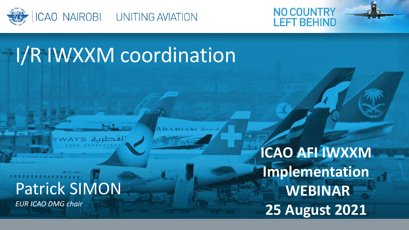

 $\lambda$   $\Box$   $\Box$   $\Delta$ 



# I/R IWXXM coordination

**ADADIAN ALA** 

# Patrick SIMON

*EUR ICAO DMG chair*

**ICAO AFI IWXXM Implementation WEBINAR 25 August 2021**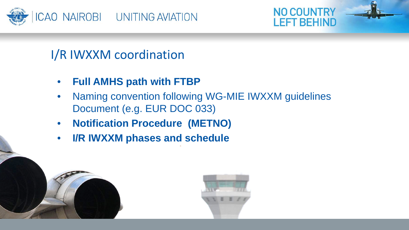



- **Full AMHS path with FTBP**
- Naming convention following WG-MIE IWXXM guidelines Document (e.g. EUR DOC 033)
- **Notification Procedure (METNO)**
- **I/R IWXXM phases and schedule**

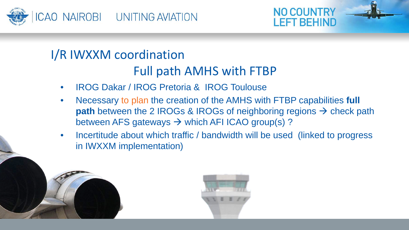



### Full path AMHS with FTBP

- IROG Dakar / IROG Pretoria & IROG Toulouse
- Necessary to plan the creation of the AMHS with FTBP capabilities **full path** between the 2 IROGs & IROGs of neighboring regions  $\rightarrow$  check path between AFS gateways  $\rightarrow$  which AFI ICAO group(s) ?
- Incertitude about which traffic / bandwidth will be used (linked to progress in IWXXM implementation)

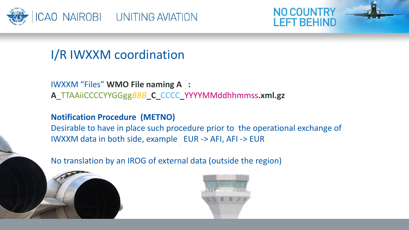



IWXXM "Files" **WMO File naming A : A**\_TTAAiiCCCCYYGGgg*BBB***\_C\_**CCCC**\_**YYYYMMddhhmmss**.xml.gz**

#### **Notification Procedure (METNO)**

Desirable to have in place such procedure prior to the operational exchange of IWXXM data in both side, example EUR -> AFI, AFI -> EUR

No translation by an IROG of external data (outside the region)

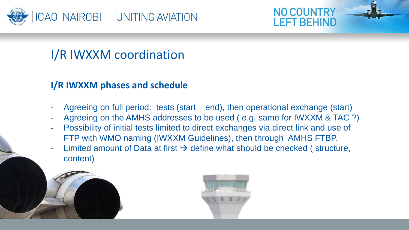



#### **I/R IWXXM phases and schedule**

- Agreeing on full period: tests (start end), then operational exchange (start)
- Agreeing on the AMHS addresses to be used ( e.g. same for IWXXM & TAC ?)
- Possibility of initial tests limited to direct exchanges via direct link and use of FTP with WMO naming (IWXXM Guidelines), then through AMHS FTBP.
- Limited amount of Data at first  $\rightarrow$  define what should be checked ( structure, content)



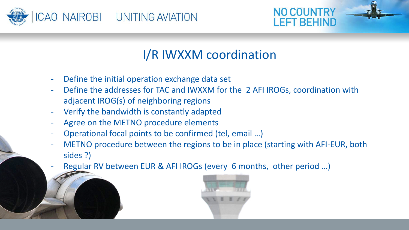



- Define the initial operation exchange data set
- Define the addresses for TAC and IWXXM for the 2 AFI IROGs, coordination with adjacent IROG(s) of neighboring regions
- Verify the bandwidth is constantly adapted
- Agree on the METNO procedure elements
- Operational focal points to be confirmed (tel, email …)
- METNO procedure between the regions to be in place (starting with AFI-EUR, both sides ?)
- Regular RV between EUR & AFI IROGs (every 6 months, other period ...)

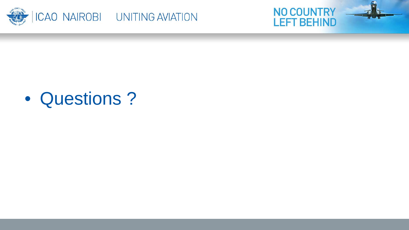



## • Questions ?